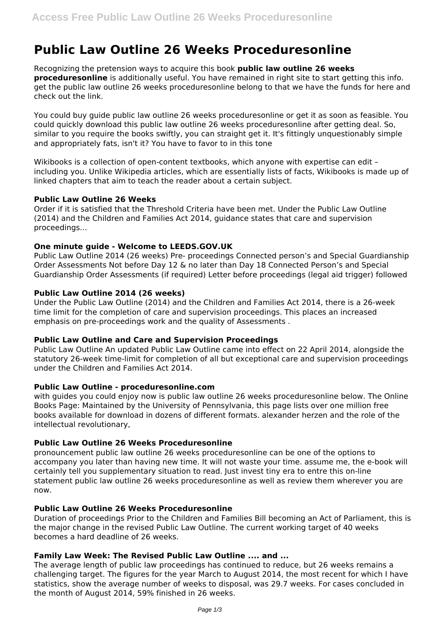# **Public Law Outline 26 Weeks Proceduresonline**

Recognizing the pretension ways to acquire this book **public law outline 26 weeks proceduresonline** is additionally useful. You have remained in right site to start getting this info. get the public law outline 26 weeks proceduresonline belong to that we have the funds for here and check out the link.

You could buy guide public law outline 26 weeks proceduresonline or get it as soon as feasible. You could quickly download this public law outline 26 weeks proceduresonline after getting deal. So, similar to you require the books swiftly, you can straight get it. It's fittingly unquestionably simple and appropriately fats, isn't it? You have to favor to in this tone

Wikibooks is a collection of open-content textbooks, which anyone with expertise can edit – including you. Unlike Wikipedia articles, which are essentially lists of facts, Wikibooks is made up of linked chapters that aim to teach the reader about a certain subject.

## **Public Law Outline 26 Weeks**

Order if it is satisfied that the Threshold Criteria have been met. Under the Public Law Outline (2014) and the Children and Families Act 2014, guidance states that care and supervision proceedings...

## **One minute guide - Welcome to LEEDS.GOV.UK**

Public Law Outline 2014 (26 weeks) Pre‐ proceedings Connected person's and Special Guardianship Order Assessments Not before Day 12 & no later than Day 18 Connected Person's and Special Guardianship Order Assessments (if required) Letter before proceedings (legal aid trigger) followed

## **Public Law Outline 2014 (26 weeks)**

Under the Public Law Outline (2014) and the Children and Families Act 2014, there is a 26-week time limit for the completion of care and supervision proceedings. This places an increased emphasis on pre-proceedings work and the quality of Assessments .

#### **Public Law Outline and Care and Supervision Proceedings**

Public Law Outline An updated Public Law Outline came into effect on 22 April 2014, alongside the statutory 26-week time-limit for completion of all but exceptional care and supervision proceedings under the Children and Families Act 2014.

#### **Public Law Outline - proceduresonline.com**

with guides you could enjoy now is public law outline 26 weeks proceduresonline below. The Online Books Page: Maintained by the University of Pennsylvania, this page lists over one million free books available for download in dozens of different formats. alexander herzen and the role of the intellectual revolutionary,

## **Public Law Outline 26 Weeks Proceduresonline**

pronouncement public law outline 26 weeks proceduresonline can be one of the options to accompany you later than having new time. It will not waste your time. assume me, the e-book will certainly tell you supplementary situation to read. Just invest tiny era to entre this on-line statement public law outline 26 weeks proceduresonline as well as review them wherever you are now.

# **Public Law Outline 26 Weeks Proceduresonline**

Duration of proceedings Prior to the Children and Families Bill becoming an Act of Parliament, this is the major change in the revised Public Law Outline. The current working target of 40 weeks becomes a hard deadline of 26 weeks.

# **Family Law Week: The Revised Public Law Outline .... and ...**

The average length of public law proceedings has continued to reduce, but 26 weeks remains a challenging target. The figures for the year March to August 2014, the most recent for which I have statistics, show the average number of weeks to disposal, was 29.7 weeks. For cases concluded in the month of August 2014, 59% finished in 26 weeks.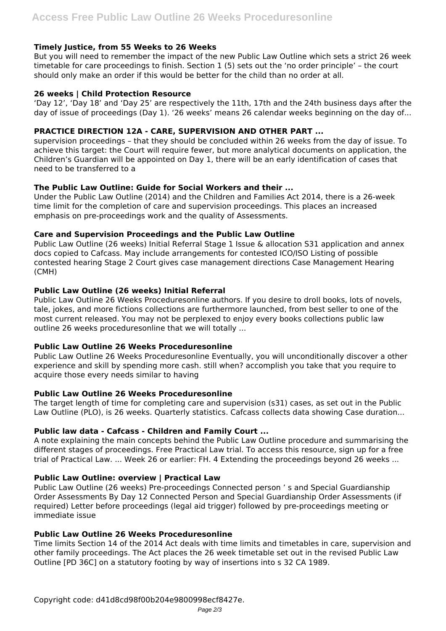## **Timely Justice, from 55 Weeks to 26 Weeks**

But you will need to remember the impact of the new Public Law Outline which sets a strict 26 week timetable for care proceedings to finish. Section 1 (5) sets out the 'no order principle' – the court should only make an order if this would be better for the child than no order at all.

## **26 weeks | Child Protection Resource**

'Day 12', 'Day 18' and 'Day 25' are respectively the 11th, 17th and the 24th business days after the day of issue of proceedings (Day 1). '26 weeks' means 26 calendar weeks beginning on the day of...

## **PRACTICE DIRECTION 12A - CARE, SUPERVISION AND OTHER PART ...**

supervision proceedings – that they should be concluded within 26 weeks from the day of issue. To achieve this target: the Court will require fewer, but more analytical documents on application, the Children's Guardian will be appointed on Day 1, there will be an early identification of cases that need to be transferred to a

## **The Public Law Outline: Guide for Social Workers and their ...**

Under the Public Law Outline (2014) and the Children and Families Act 2014, there is a 26-week time limit for the completion of care and supervision proceedings. This places an increased emphasis on pre-proceedings work and the quality of Assessments.

## **Care and Supervision Proceedings and the Public Law Outline**

Public Law Outline (26 weeks) Initial Referral Stage 1 Issue & allocation S31 application and annex docs copied to Cafcass. May include arrangements for contested ICO/ISO Listing of possible contested hearing Stage 2 Court gives case management directions Case Management Hearing (CMH)

## **Public Law Outline (26 weeks) Initial Referral**

Public Law Outline 26 Weeks Proceduresonline authors. If you desire to droll books, lots of novels, tale, jokes, and more fictions collections are furthermore launched, from best seller to one of the most current released. You may not be perplexed to enjoy every books collections public law outline 26 weeks proceduresonline that we will totally ...

# **Public Law Outline 26 Weeks Proceduresonline**

Public Law Outline 26 Weeks Proceduresonline Eventually, you will unconditionally discover a other experience and skill by spending more cash. still when? accomplish you take that you require to acquire those every needs similar to having

#### **Public Law Outline 26 Weeks Proceduresonline**

The target length of time for completing care and supervision (s31) cases, as set out in the Public Law Outline (PLO), is 26 weeks. Quarterly statistics. Cafcass collects data showing Case duration...

# **Public law data - Cafcass - Children and Family Court ...**

A note explaining the main concepts behind the Public Law Outline procedure and summarising the different stages of proceedings. Free Practical Law trial. To access this resource, sign up for a free trial of Practical Law. ... Week 26 or earlier: FH. 4 Extending the proceedings beyond 26 weeks ...

#### **Public Law Outline: overview | Practical Law**

Public Law Outline (26 weeks) Pre-proceedings Connected person ' s and Special Guardianship Order Assessments By Day 12 Connected Person and Special Guardianship Order Assessments (if required) Letter before proceedings (legal aid trigger) followed by pre-proceedings meeting or immediate issue

#### **Public Law Outline 26 Weeks Proceduresonline**

Time limits Section 14 of the 2014 Act deals with time limits and timetables in care, supervision and other family proceedings. The Act places the 26 week timetable set out in the revised Public Law Outline [PD 36C] on a statutory footing by way of insertions into s 32 CA 1989.